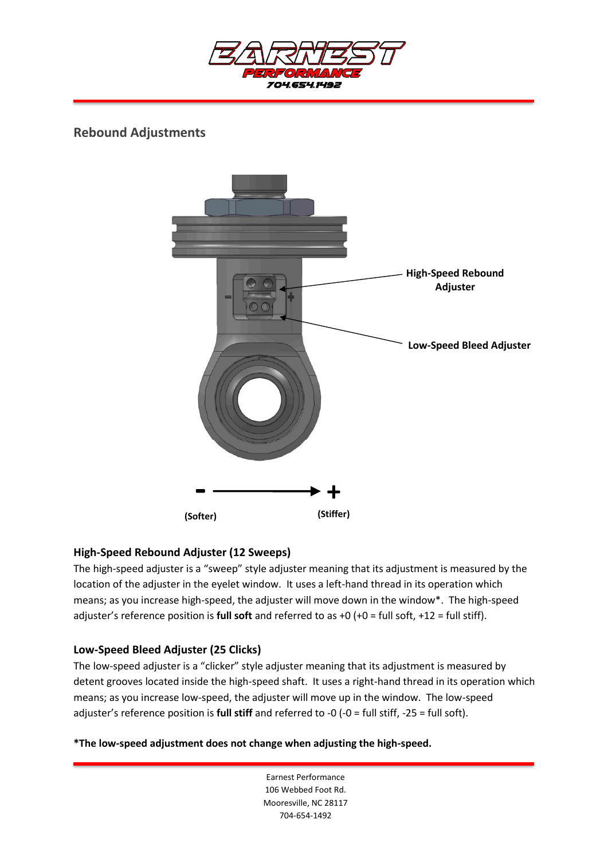

# **Rebound Adjustments**



## **High-Speed Rebound Adjuster (12 Sweeps)**

The high-speed adjuster is a "sweep" style adjuster meaning that its adjustment is measured by the location of the adjuster in the eyelet window. It uses a left-hand thread in its operation which means; as you increase high-speed, the adjuster will move down in the window\*. The high-speed adjuster's reference position is **full soft** and referred to as +0 (+0 = full soft, +12 = full stiff).

## **Low-Speed Bleed Adjuster (25 Clicks)**

The low-speed adjuster is a "clicker" style adjuster meaning that its adjustment is measured by detent grooves located inside the high-speed shaft. It uses a right-hand thread in its operation which means; as you increase low-speed, the adjuster will move up in the window. The low-speed adjuster's reference position is **full stiff** and referred to -0 (-0 = full stiff, -25 = full soft).

**\*The low-speed adjustment does not change when adjusting the high-speed.**

Earnest Performance 106 Webbed Foot Rd. Mooresville, NC 28117 704-654-1492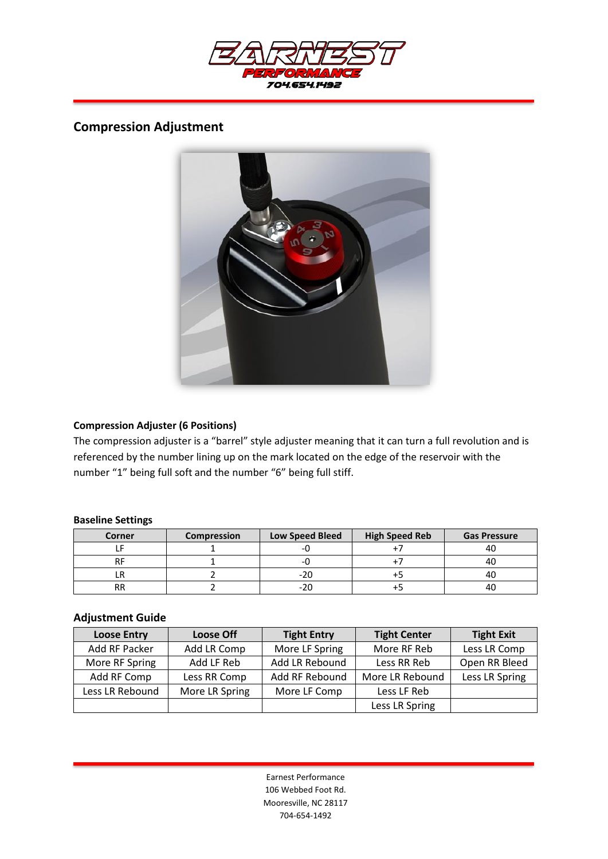

## **Compression Adjustment**



### **Compression Adjuster (6 Positions)**

The compression adjuster is a "barrel" style adjuster meaning that it can turn a full revolution and is referenced by the number lining up on the mark located on the edge of the reservoir with the number "1" being full soft and the number "6" being full stiff.

#### **Baseline Settings**

| Corner    | <b>Compression</b> | <b>Low Speed Bleed</b> | <b>High Speed Reb</b> | <b>Gas Pressure</b> |
|-----------|--------------------|------------------------|-----------------------|---------------------|
|           |                    |                        |                       |                     |
|           |                    |                        |                       | 4U                  |
|           |                    |                        |                       |                     |
| <b>RR</b> |                    | -20                    |                       | 4U                  |

## **Adjustment Guide**

| <b>Loose Entry</b> | <b>Loose Off</b> | <b>Tight Entry</b> | <b>Tight Center</b> | <b>Tight Exit</b> |
|--------------------|------------------|--------------------|---------------------|-------------------|
| Add RF Packer      | Add LR Comp      | More LF Spring     | More RF Reb         | Less LR Comp      |
| More RF Spring     | Add LF Reb       | Add LR Rebound     | Less RR Reb         | Open RR Bleed     |
| Add RF Comp        | Less RR Comp     | Add RF Rebound     | More LR Rebound     | Less LR Spring    |
| Less LR Rebound    | More LR Spring   | More LF Comp       | Less LF Reb         |                   |
|                    |                  |                    | Less LR Spring      |                   |

Earnest Performance 106 Webbed Foot Rd. Mooresville, NC 28117 704-654-1492